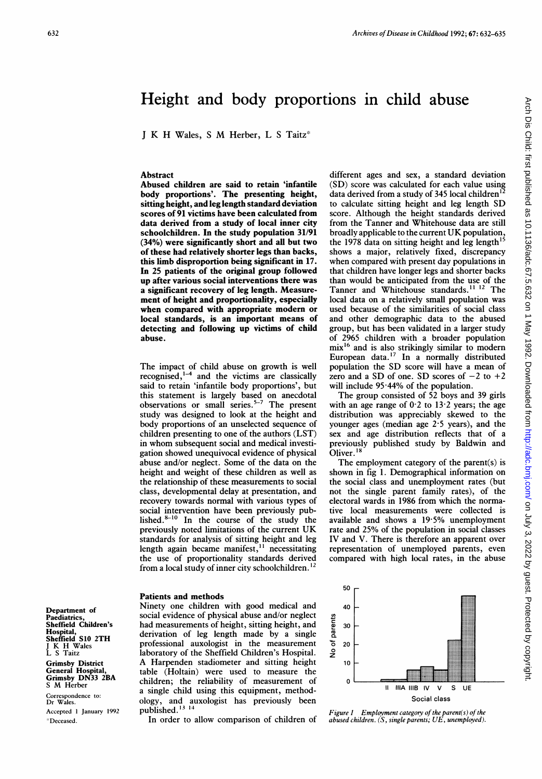# Height and body proportions in child abuse

<sup>J</sup> K H Wales, <sup>S</sup> M Herber, L <sup>S</sup> Taitz'

### Abstract

Abused children are said to retain 'infantile body proportions'. The presenting height, sitting height, and leg length standard deviation scores of 91 victims have been calculated from data derived from a study of local inner city schoolchildren. In the study population 31/91 (34%) were significantly short and all but two of these had relatively shorter legs than backs, this limb disproportion being significant in 17. In 25 patients of the original group followed up after various social interventions there was a significant recovery of leg length. Measurement of height and proportionality, especially when compared with appropriate modern or local standards, is an important means of detecting and following up victims of child abuse.

The impact of child abuse on growth is well recognised, $1-4$  and the victims are classically said to retain 'infantile body proportions', but this statement is largely based on anecdotal observations or small series.<sup>3-7</sup> The present study was designed to look at the height and body proportions of an unselected sequence of children presenting to one of the authors (LST) in whom subsequent social and medical investigation showed unequivocal evidence of physical abuse and/or neglect. Some of the data on the height and weight of these children as well as the relationship of these measurements to social class, developmental delay at presentation, and recovery towards normal with various types of social intervention have been previously published.<sup>8-10</sup> In the course of the study the previously noted limitations of the current UK standards for analysis of sitting height and leg length again became manifest,<sup>11</sup> necessitating the use of proportionality standards derived from a local study of inner city schoolchildren. <sup>12</sup>

#### Patients and methods

Ninety one children with good medical and social evidence of physical abuse and/or neglect had measurements of height, sitting height, and derivation of leg length made by <sup>a</sup> single professional auxologist in the measurement laboratory of the Sheffield Children's Hospital. A Harpenden stadiometer and sitting height table (Holtain) were used to measure the children; the reliability of measurement of a single child using this equipment, methodology, and auxologist has previously been published.'3 <sup>14</sup>

In order to allow comparison of children of

different ages and sex, a standard deviation (SD) score was calculated for each value using data derived from a study of 345 local children'2 to calculate sitting height and leg length SD score. Although the height standards derived from the Tanner and Whitehouse data are still broadly applicable to the current UK population, the 1978 data on sitting height and leg length $^{15}$ shows a major, relatively fixed, discrepancy when compared with present day populations in that children have longer legs and shorter backs than would be anticipated from the use of the Tanner and Whitehouse standards.<sup>11 12</sup> The local data on a relatively small population was used because of the similarities of social class and other demographic data to the abused group, but has been validated in a larger study of 2965 children with a broader population mix'6 and is also strikingly similar to modern European data.<sup>17</sup> In a normally distributed population the SD score will have <sup>a</sup> mean of zero and a SD of one. SD scores of  $-2$  to  $+2$ will include 95-44% of the population.

The group consisted of 52 boys and 39 girls with an age range of  $0.2$  to  $13.2$  years; the age distribution was appreciably skewed to the younger ages (median age 2-5 years), and the sex and age distribution reflects that of a previously published study by Baldwin and Oliver.<sup>18</sup>

The employment category of the parent(s) is shown in fig 1. Demographical information on the social class and unemployment rates (but not the single parent family rates), of the electoral wards in 1986 from which the normative local measurements were collected is available and shows <sup>a</sup> 19-5% unemployment rate and 25% of the population in social classes IV and V. There is therefore an apparent over representation of unemployed parents, even compared with high local rates, in the abuse



Figure <sup>I</sup> Employment category of the parent(s) of the abused children. (S, single parents; UE, unemployed).

Department of<br>Paediatrics, Paediatrics, Sheffield Children's Hospital, Sheffield S10 2TH <sup>J</sup> K H Wales L S Taitz Grimsby District General Hospital, Grimsby DN33 2BA <sup>S</sup> M Herber

Correspondence to: Dr Wales. Accepted <sup>I</sup> January 1992 \* Deceased.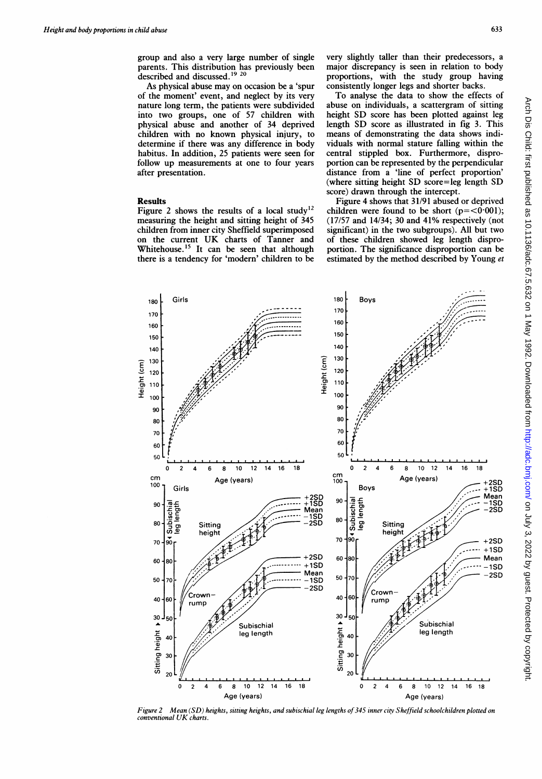group and also a very large number of single parents. This distribution has previously been described and discussed.'9 <sup>20</sup>

As physical abuse may on occasion be a 'spur of the moment' event, and neglect by its very nature long term, the patients were subdivided into two groups, one of 57 children with physical abuse and another of 34 deprived children with no known physical injury, to determine if there was any difference in body habitus. In addition, 25 patients were seen for follow up measurements at one to four years after presentation.

## Results

Figure 2 shows the results of a local study'2 measuring the height and sitting height of 345 children from inner city Sheffield superimposed on the current UK charts of Tanner and Whitehouse.<sup>15</sup> It can be seen that although there is a tendency for 'modern' children to be

very slightly taller than their predecessors, a major discrepancy is seen in relation to body proportions, with the study group having consistently longer legs and shorter backs.

To analyse the data to show the effects of abuse on individuals, a scattergram of sitting height SD score has been plotted against leg length SD score as illustrated in fig 3. This means of demonstrating the data shows individuals with normal stature falling within the central stippled box. Furthermore, disproportion can be represented by the perpendicular distance from a 'line of perfect proportion' (where sitting height SD score=leg length SD score) drawn through the intercept.

Figure 4 shows that 31/91 abused or deprived children were found to be short  $(p=<0.001)$ ; (17/57 and 14/34; 30 and 41% respectively (not significant) in the two subgroups). All but two of these children showed leg length disproportion. The significance disproportion can be estimated by the method described by Young et



Figure 2 Mean (SD) heights, sitting heights, and subischial leg lengths of 345 inner city Sheffield schoolchildren plotted on conventional UK charts.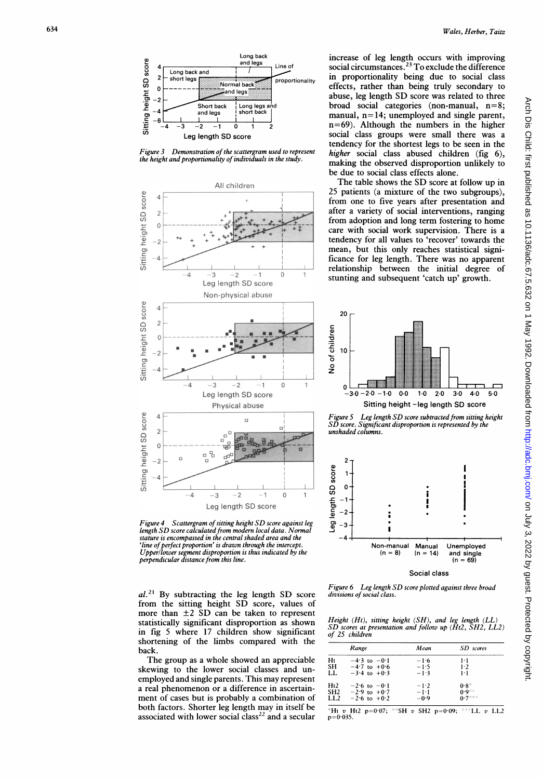

Figure 3 Demonstration of the scattergram used to represent the height and proportionality of individuals in the study.



Figure 4 Scattergram of sitting height SD score against leg<br>length SD score calculated from modern local data. Normal stature is encompassed in the central shaded area and the 'line of perfect proportion' is drawn through the intercept Upper/lower segment disproportion is thus indicated by the<br>perpendicular distance from this line.

 $al.^{21}$  By subtracting the leg length SD score from the sitting height SD score, values of more than  $\pm 2$  SD can be taken to represent statistically significant disproportion as shown in fig 5 where 17 children show significant shortening of the limbs compared with the back.

The group as a whole showed an appreciable skewing to the lower social classes and unemployed and single parents. This may represent a real phenomenon or a difference in ascertainment of cases but is probably a combination of both factors. Shorter leg length may in itself be associated with lower social class<sup>22</sup> and a secular

increase of leg length occurs with improving social circumstances.<sup>23</sup> To exclude the difference in proportionality being due to social class effects, rather than being truly secondary to abuse, leg length SD score was related to three broad social categories (non-manual,  $n=8$ ; manual,  $n=14$ ; unemployed and single parent,  $n=69$ ). Although the numbers in the higher social class groups were small there was a tendency for the shortest legs to be seen in the higher social class abused children (fig 6), making the observed disproportion unlikely to be due to social class effects alone.

The table shows the SD score at follow up in 25 patients (a mixture of the two subgroups), from one to five years after presentation and after a variety of social interventions, ranging from adoption and long term fostering to home care with social work supervision. There is a tendency for all values to 'recover' towards the mean, but this only reaches statistical significance for leg length. There was no apparent relationship between the initial degree of stunting and subsequent 'catch up' growth.



Leg length SD score subtracted from sitting height Figure 5 SD score. Significant disproportion is represented by the unshaded columns.



Figure 6 Leg length SD score plotted against three broad divisions of social class.

Height  $(Hl)$ , sitting height  $(SH)$ , and leg length  $(LL)$ <br>SD scores at presentation and follow up  $(Hl2,$  SH2, LL2) of 25 children

|                 | Range            | Mean               | SD scores           |
|-----------------|------------------|--------------------|---------------------|
| Hι              | $-4.3$ to $-0.1$ | $-1.6$             | $1-1$               |
| <b>SH</b>       | $-4.7$ to $+0.6$ | $-1.5$             | 1.2                 |
| LL.             | $-3.4$ to $+0.3$ | $-1.3$             | $1 \cdot 1$         |
| Ht2             | $-2.6$ to $-0.1$ | $-1.2$             | $0.8^*$             |
| SH <sub>2</sub> | $-2.9$ to $+0.7$ | $-1$ <sup>-1</sup> | $0.9$ <sup>**</sup> |
| LL2             | $-2.6$ to $+0.2$ | $-0.9$             | $0.7***$            |

\*Ht v Ht2 p=0.07; \*\*\*SH v SH2 p=0.09; \*\*\*LL v LL2  $p=0.035$ .